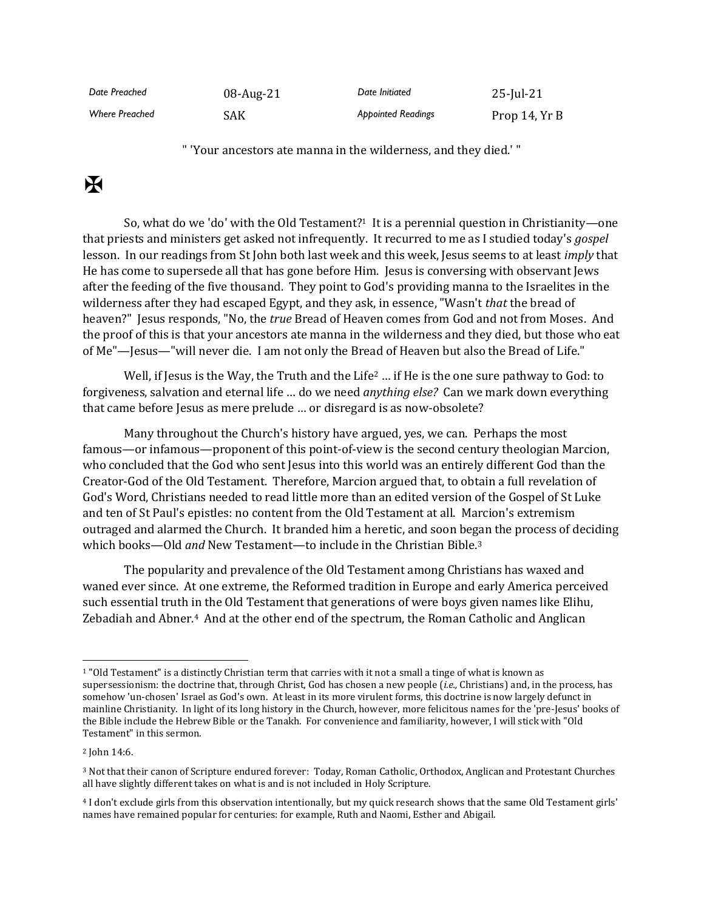| Date Preached         | 08-Aug-21  | Date Initiated            | $25$ -Jul-21  |
|-----------------------|------------|---------------------------|---------------|
| <b>Where Preached</b> | <b>SAK</b> | <b>Appointed Readings</b> | Prop 14, Yr B |

" 'Your ancestors ate manna in the wilderness, and they died.' "

## $\mathbf K$

So, what do we 'do' with the Old Testament?<sup>1</sup> It is a perennial question in Christianity—one that priests and ministers get asked not infrequently. It recurred to me as I studied today's *gospel* lesson. In our readings from St John both last week and this week, Jesus seems to at least *imply* that He has come to supersede all that has gone before Him. Jesus is conversing with observant Jews after the feeding of the five thousand. They point to God's providing manna to the Israelites in the wilderness after they had escaped Egypt, and they ask, in essence, "Wasn't *that* the bread of heaven?" Jesus responds, "No, the *true* Bread of Heaven comes from God and not from Moses. And the proof of this is that your ancestors ate manna in the wilderness and they died, but those who eat of Me"—Jesus—"will never die. I am not only the Bread of Heaven but also the Bread of Life."

Well, if Jesus is the Way, the Truth and the Life<sup>2</sup> ... if He is the one sure pathway to God: to forgiveness, salvation and eternal life … do we need *anything else?* Can we mark down everything that came before Jesus as mere prelude … or disregard is as now-obsolete?

Many throughout the Church's history have argued, yes, we can. Perhaps the most famous—or infamous—proponent of this point-of-view is the second century theologian Marcion, who concluded that the God who sent Jesus into this world was an entirely different God than the Creator-God of the Old Testament. Therefore, Marcion argued that, to obtain a full revelation of God's Word, Christians needed to read little more than an edited version of the Gospel of St Luke and ten of St Paul's epistles: no content from the Old Testament at all. Marcion's extremism outraged and alarmed the Church. It branded him a heretic, and soon began the process of deciding which books—Old *and* New Testament—to include in the Christian Bible.<sup>3</sup>

The popularity and prevalence of the Old Testament among Christians has waxed and waned ever since. At one extreme, the Reformed tradition in Europe and early America perceived such essential truth in the Old Testament that generations of were boys given names like Elihu, Zebadiah and Abner.<sup>4</sup> And at the other end of the spectrum, the Roman Catholic and Anglican

<sup>1</sup> "Old Testament" is a distinctly Christian term that carries with it not a small a tinge of what is known as supersessionism: the doctrine that, through Christ, God has chosen a new people (*i.e.,* Christians) and, in the process, has somehow 'un-chosen' Israel as God's own. At least in its more virulent forms, this doctrine is now largely defunct in mainline Christianity. In light of its long history in the Church, however, more felicitous names for the 'pre-Jesus' books of the Bible include the Hebrew Bible or the Tanakh. For convenience and familiarity, however, I will stick with "Old Testament" in this sermon.

<sup>2</sup> John 14:6.

<sup>3</sup> Not that their canon of Scripture endured forever: Today, Roman Catholic, Orthodox, Anglican and Protestant Churches all have slightly different takes on what is and is not included in Holy Scripture.

<sup>4</sup> I don't exclude girls from this observation intentionally, but my quick research shows that the same Old Testament girls' names have remained popular for centuries: for example, Ruth and Naomi, Esther and Abigail.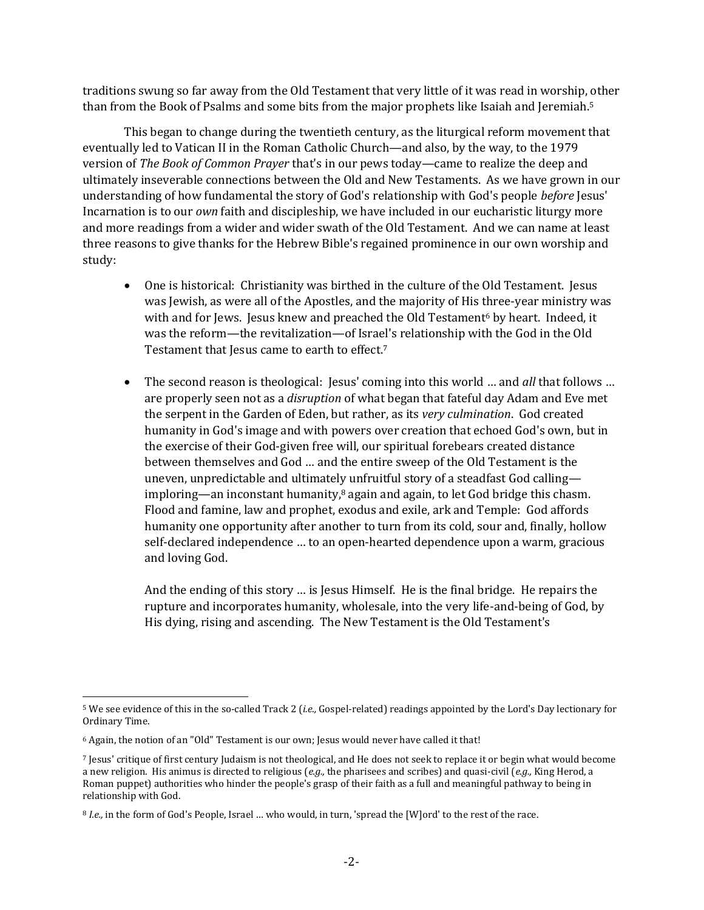traditions swung so far away from the Old Testament that very little of it was read in worship, other than from the Book of Psalms and some bits from the major prophets like Isaiah and Jeremiah.<sup>5</sup>

This began to change during the twentieth century, as the liturgical reform movement that eventually led to Vatican II in the Roman Catholic Church—and also, by the way, to the 1979 version of *The Book of Common Prayer* that's in our pews today—came to realize the deep and ultimately inseverable connections between the Old and New Testaments. As we have grown in our understanding of how fundamental the story of God's relationship with God's people *before* Jesus' Incarnation is to our *own* faith and discipleship, we have included in our eucharistic liturgy more and more readings from a wider and wider swath of the Old Testament. And we can name at least three reasons to give thanks for the Hebrew Bible's regained prominence in our own worship and study:

- One is historical: Christianity was birthed in the culture of the Old Testament. Jesus was Jewish, as were all of the Apostles, and the majority of His three-year ministry was with and for Jews. Jesus knew and preached the Old Testament<sup>6</sup> by heart. Indeed, it was the reform—the revitalization—of Israel's relationship with the God in the Old Testament that Jesus came to earth to effect.<sup>7</sup>
- The second reason is theological: Jesus' coming into this world ... and *all* that follows ... are properly seen not as a *disruption* of what began that fateful day Adam and Eve met the serpent in the Garden of Eden, but rather, as its *very culmination*. God created humanity in God's image and with powers over creation that echoed God's own, but in the exercise of their God-given free will, our spiritual forebears created distance between themselves and God … and the entire sweep of the Old Testament is the uneven, unpredictable and ultimately unfruitful story of a steadfast God calling imploring—an inconstant humanity, $8$  again and again, to let God bridge this chasm. Flood and famine, law and prophet, exodus and exile, ark and Temple: God affords humanity one opportunity after another to turn from its cold, sour and, finally, hollow self-declared independence … to an open-hearted dependence upon a warm, gracious and loving God.

And the ending of this story … is Jesus Himself. He is the final bridge. He repairs the rupture and incorporates humanity, wholesale, into the very life-and-being of God, by His dying, rising and ascending. The New Testament is the Old Testament's

<sup>5</sup> We see evidence of this in the so-called Track 2 (*i.e.,* Gospel-related) readings appointed by the Lord's Day lectionary for Ordinary Time.

<sup>6</sup> Again, the notion of an "Old" Testament is our own; Jesus would never have called it that!

<sup>7</sup> Jesus' critique of first century Judaism is not theological, and He does not seek to replace it or begin what would become a new religion. His animus is directed to religious (*e.g.,* the pharisees and scribes) and quasi-civil (*e.g.,* King Herod, a Roman puppet) authorities who hinder the people's grasp of their faith as a full and meaningful pathway to being in relationship with God.

<sup>8</sup> *I.e.,* in the form of God's People, Israel … who would, in turn, 'spread the [W]ord' to the rest of the race.